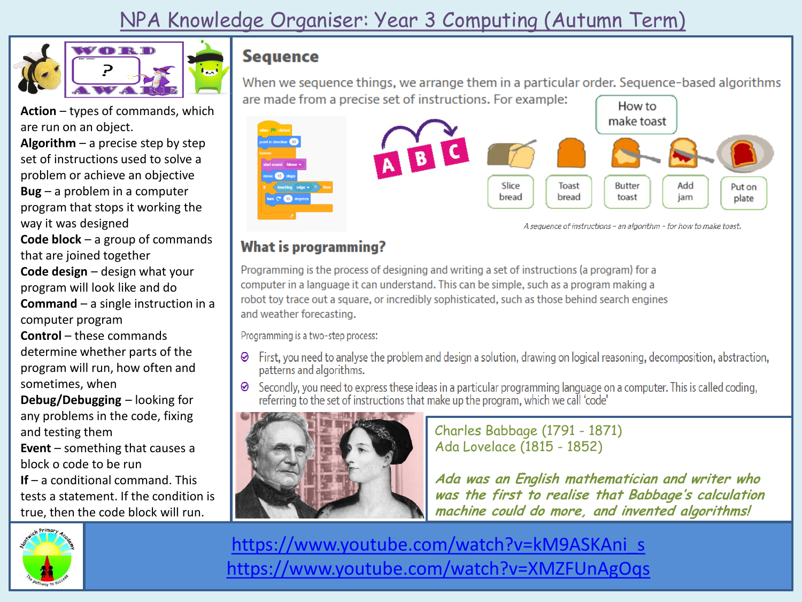

**Action** – types of commands, which are run on an object.

**Algorithm** – a precise step by step set of instructions used to solve a problem or achieve an objective **Bug** – a problem in a computer program that stops it working the way it was designed

**Code block** – a group of commands that are joined together

**Code design** – design what your program will look like and do

**Command** – a single instruction in a computer program

**Control** – these commands determine whether parts of the program will run, how often and sometimes, when

**Debug/Debugging** – looking for any problems in the code, fixing and testing them

**Event** – something that causes a block o code to be run

**If** – a conditional command. This tests a statement. If the condition is true, then the code block will run.

## **Sequence**

When we sequence things, we arrange them in a particular order. Sequence-based algorithms are made from a precise set of instructions. For example: How to



## **What is programming?**

Programming is the process of designing and writing a set of instructions (a program) for a computer in a language it can understand. This can be simple, such as a program making a robot toy trace out a square, or incredibly sophisticated, such as those behind search engines and weather forecasting.

Programming is a two-step process:

- First, you need to analyse the problem and design a solution, drawing on logical reasoning, decomposition, abstraction, 0 patterns and algorithms.
- Secondly, you need to express these ideas in a particular programming language on a computer. This is called coding, |⊗ referring to the set of instructions that make up the program, which we call 'code'



Charles Babbage (1791 - 1871) Ada Lovelace (1815 - 1852)

**Ada was an English mathematician and writer who was the first to realise that Babbage's calculation machine could do more, and invented algorithms!**



[https://www.youtube.com/watch?v=kM9ASKAni\\_s](https://www.youtube.com/watch?v=kM9ASKAni_s) <https://www.youtube.com/watch?v=XMZFUnAgOqs>